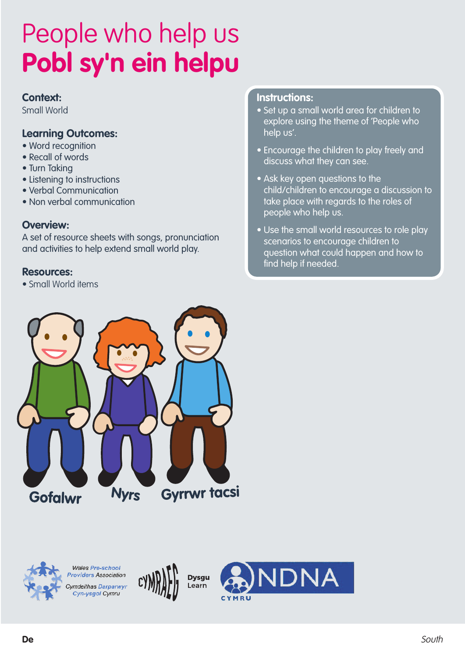#### **Context:**

Small World

#### **Learning Outcomes:**

- Word recognition
- Recall of words
- Turn Taking
- Listening to instructions
- Verbal Communication
- Non verbal communication

#### **Overview:**

A set of resource sheets with songs, pronunciation and activities to help extend small world play.

#### **Resources:**

• Small World items

#### **Instructions:**

- Set up a small world area for children to explore using the theme of 'People who help us'.
- Encourage the children to play freely and discuss what they can see.
- Ask key open questions to the child/children to encourage a discussion to take place with regards to the roles of people who help us.
- Use the small world resources to role play scenarios to encourage children to question what could happen and how to find help if needed.





**Wales Pre-school Providers Association Cymdeithas Darparwyr** Cyn-ysgol Cymru



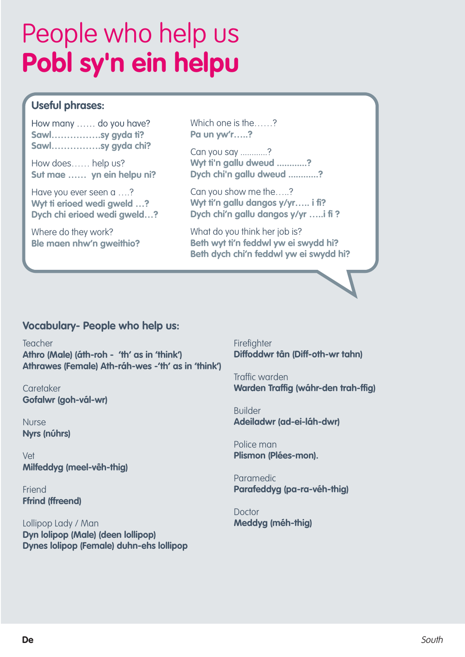## **Useful phrases:**

How many …… do you have? **Sawl…………….sy gyda ti? Sawl…………….sy gyda chi?**

How does…… help us? **Sut mae …… yn ein helpu ni?**

Have you ever seen a ….? **Wyt ti erioed wedi gweld …? Dych chi erioed wedi gweld…?**

Where do they work? **Ble maen nhw'n gweithio?** Which one is the……? **Pa un yw'r…..?**

Can you say ............? **Wyt ti'n gallu dweud ............? Dych chi'n gallu dweud ............?**

Can you show me the…..? **Wyt ti'n gallu dangos y/yr….. i fi? Dych chi'n gallu dangos y/yr …..i fi ?**

What do you think her job is? **Beth wyt ti'n feddwl yw ei swydd hi? Beth dych chi'n feddwl yw ei swydd hi?**

### **Vocabulary- People who help us:**

Teacher **Athro (Male) (áth-roh - 'th' as in 'think') Athrawes (Female) Ath-ráh-wes -'th' as in 'think')**

**Caretaker Gofalwr (goh-vál-wr)**

Nurse **Nyrs (núhrs)**

Vet **Milfeddyg (meel-vêh-thig)**

Friend **Ffrind (ffreend)**

Lollipop Lady / Man **Dyn lolipop (Male) (deen lollipop) Dynes lolipop (Female) duhn-ehs lollipop** **Firefighter Diffoddwr tân (Diff-oth-wr tahn)**

Traffic warden **Warden Traffig (wáhr-den trah-ffig)**

Builder **Adeiladwr (ad-ei-láh-dwr)**

Police man **Plismon (Plées-mon).**

Paramedic **Parafeddyg (pa-ra-véh-thig)**

**Doctor Meddyg (méh-thig)**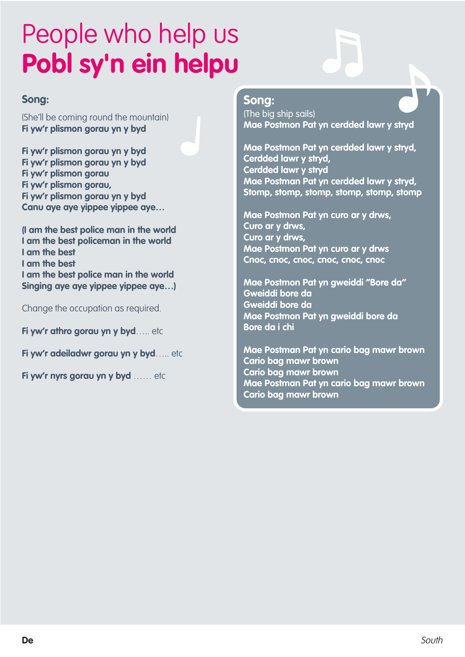#### **Song:**

(She'll be coming round the mountain) **Fi yw'r plismon gorau yn y byd**

**Fi yw'r plismon gorau yn y byd Fi yw'r plismon gorau yn y byd Fi yw'r plismon gorau Fi yw'r plismon gorau, Fi yw'r plismon gorau yn y byd Canu aye aye yippee yippee aye…**

**(I am the best police man in the world I am the best policeman in the world I am the best I am the best I am the best police man in the world Singing aye aye yippee yippee aye…)**

Change the occupation as required.

**Fi yw'r athro gorau yn y byd**….. etc

**Fi yw'r adeiladwr gorau yn y byd**….. etc

**Fi yw'r nyrs gorau yn y byd** …… etc

### **Song:**

(The big ship sails) **Mae Postmon Pat yn cerdded lawr y stryd**

**Mae Postmon Pat yn cerdded lawr y stryd, Cerdded lawr y stryd, Cerdded lawr y stryd Mae Postman Pat yn cerdded lawr y stryd, Stomp, stomp, stomp, stomp, stomp, stomp**

**Mae Postmon Pat yn curo ar y drws, Curo ar y drws, Curo ar y drws, Mae Postmon Pat yn curo ar y drws Cnoc, cnoc, cnoc, cnoc, cnoc, cnoc**

**Mae Postmon Pat yn gweiddi "Bore da" Gweiddi bore da Gweiddi bore da Mae Postmon Pat yn gweiddi bore da Bore da i chi**

**Mae Postman Pat yn cario bag mawr brown Cario bag mawr brown Cario bag mawr brown Mae Postman Pat yn cario bag mawr brown Cario bag mawr brown**